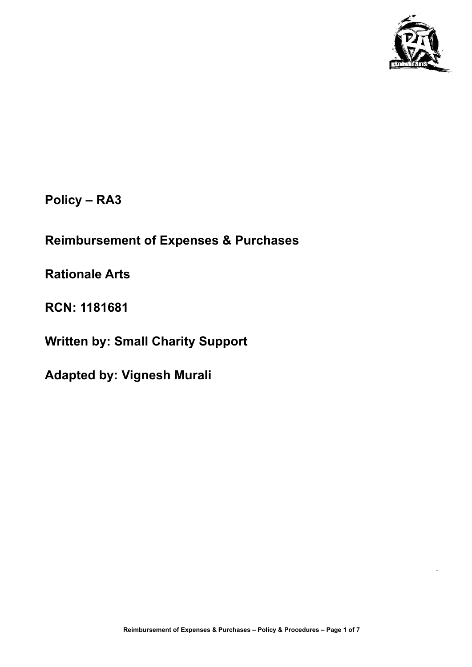

.

**Policy – RA3**

# **Reimbursement of Expenses & Purchases**

**Rationale Arts**

**RCN: 1181681**

**Written by: Small Charity Support**

**Adapted by: Vignesh Murali**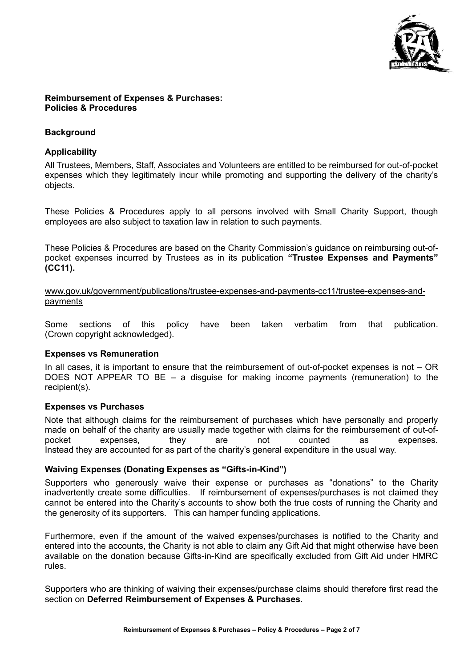

#### **Reimbursement of Expenses & Purchases: Policies & Procedures**

## **Background**

## **Applicability**

All Trustees, Members, Staff, Associates and Volunteers are entitled to be reimbursed for out-of-pocket expenses which they legitimately incur while promoting and supporting the delivery of the charity's objects.

These Policies & Procedures apply to all persons involved with Small Charity Support, though employees are also subject to taxation law in relation to such payments.

These Policies & Procedures are based on the Charity Commission's guidance on reimbursing out-ofpocket expenses incurred by Trustees as in its publication **"Trustee Expenses and Payments" (CC11).**

[www.gov.uk/government/publications/trustee-expenses-and-payments-cc11/trustee-expenses-and](http://www.gov.uk/government/publications/trustee-expenses-and-payments-cc11/trustee-expenses-and-payments)[payments](http://www.gov.uk/government/publications/trustee-expenses-and-payments-cc11/trustee-expenses-and-payments)

Some sections of this policy have been taken verbatim from that publication. (Crown copyright acknowledged).

## **Expenses vs Remuneration**

In all cases, it is important to ensure that the reimbursement of out-of-pocket expenses is not – OR DOES NOT APPEAR TO BE – a disguise for making income payments (remuneration) to the recipient(s).

## **Expenses vs Purchases**

Note that although claims for the reimbursement of purchases which have personally and properly made on behalf of the charity are usually made together with claims for the reimbursement of out-ofpocket expenses, they are not counted as expenses. Instead they are accounted for as part of the charity's general expenditure in the usual way.

## **Waiving Expenses (Donating Expenses as "Gifts-in-Kind")**

Supporters who generously waive their expense or purchases as "donations" to the Charity inadvertently create some difficulties. If reimbursement of expenses/purchases is not claimed they cannot be entered into the Charity's accounts to show both the true costs of running the Charity and the generosity of its supporters. This can hamper funding applications.

Furthermore, even if the amount of the waived expenses/purchases is notified to the Charity and entered into the accounts, the Charity is not able to claim any Gift Aid that might otherwise have been available on the donation because Gifts-in-Kind are specifically excluded from Gift Aid under HMRC rules.

Supporters who are thinking of waiving their expenses/purchase claims should therefore first read the section on **Deferred Reimbursement of Expenses & Purchases**.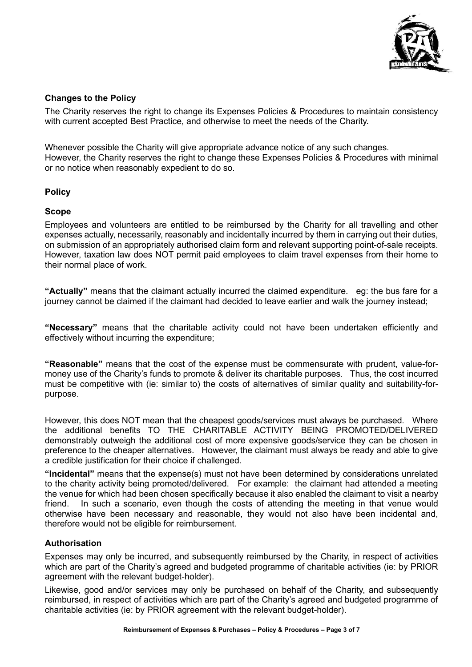

## **Changes to the Policy**

The Charity reserves the right to change its Expenses Policies & Procedures to maintain consistency with current accepted Best Practice, and otherwise to meet the needs of the Charity.

Whenever possible the Charity will give appropriate advance notice of any such changes. However, the Charity reserves the right to change these Expenses Policies & Procedures with minimal or no notice when reasonably expedient to do so.

#### **Policy**

#### **Scope**

Employees and volunteers are entitled to be reimbursed by the Charity for all travelling and other expenses actually, necessarily, reasonably and incidentally incurred by them in carrying out their duties, on submission of an appropriately authorised claim form and relevant supporting point-of-sale receipts. However, taxation law does NOT permit paid employees to claim travel expenses from their home to their normal place of work.

**"Actually"** means that the claimant actually incurred the claimed expenditure. eg: the bus fare for a journey cannot be claimed if the claimant had decided to leave earlier and walk the journey instead;

**"Necessary"** means that the charitable activity could not have been undertaken efficiently and effectively without incurring the expenditure;

**"Reasonable"** means that the cost of the expense must be commensurate with prudent, value-formoney use of the Charity's funds to promote & deliver its charitable purposes. Thus, the cost incurred must be competitive with (ie: similar to) the costs of alternatives of similar quality and suitability-forpurpose.

However, this does NOT mean that the cheapest goods/services must always be purchased. Where the additional benefits TO THE CHARITABLE ACTIVITY BEING PROMOTED/DELIVERED demonstrably outweigh the additional cost of more expensive goods/service they can be chosen in preference to the cheaper alternatives. However, the claimant must always be ready and able to give a credible justification for their choice if challenged.

**"Incidental"** means that the expense(s) must not have been determined by considerations unrelated to the charity activity being promoted/delivered. For example: the claimant had attended a meeting the venue for which had been chosen specifically because it also enabled the claimant to visit a nearby friend. In such a scenario, even though the costs of attending the meeting in that venue would otherwise have been necessary and reasonable, they would not also have been incidental and, therefore would not be eligible for reimbursement.

#### **Authorisation**

Expenses may only be incurred, and subsequently reimbursed by the Charity, in respect of activities which are part of the Charity's agreed and budgeted programme of charitable activities (ie: by PRIOR agreement with the relevant budget-holder).

Likewise, good and/or services may only be purchased on behalf of the Charity, and subsequently reimbursed, in respect of activities which are part of the Charity's agreed and budgeted programme of charitable activities (ie: by PRIOR agreement with the relevant budget-holder).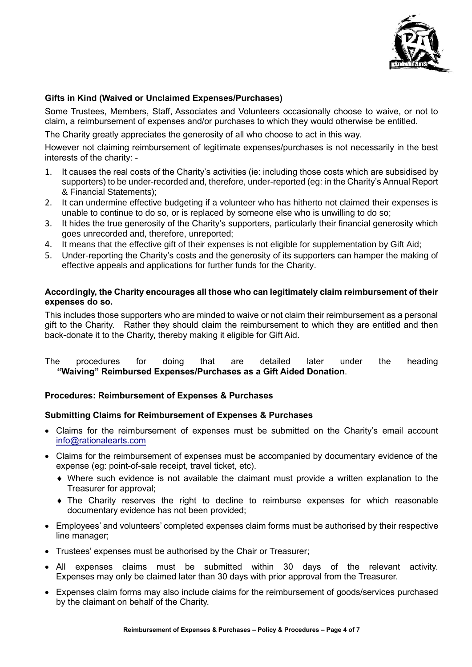

## **Gifts in Kind (Waived or Unclaimed Expenses/Purchases)**

Some Trustees, Members, Staff, Associates and Volunteers occasionally choose to waive, or not to claim, a reimbursement of expenses and/or purchases to which they would otherwise be entitled.

The Charity greatly appreciates the generosity of all who choose to act in this way.

However not claiming reimbursement of legitimate expenses/purchases is not necessarily in the best interests of the charity: -

- 1. It causes the real costs of the Charity's activities (ie: including those costs which are subsidised by supporters) to be under-recorded and, therefore, under-reported (eg: in the Charity's Annual Report & Financial Statements);
- 2. It can undermine effective budgeting if a volunteer who has hitherto not claimed their expenses is unable to continue to do so, or is replaced by someone else who is unwilling to do so;
- 3. It hides the true generosity of the Charity's supporters, particularly their financial generosity which goes unrecorded and, therefore, unreported;
- 4. It means that the effective gift of their expenses is not eligible for supplementation by Gift Aid;
- 5. Under-reporting the Charity's costs and the generosity of its supporters can hamper the making of effective appeals and applications for further funds for the Charity.

## **Accordingly, the Charity encourages all those who can legitimately claim reimbursement of their expenses do so.**

This includes those supporters who are minded to waive or not claim their reimbursement as a personal gift to the Charity. Rather they should claim the reimbursement to which they are entitled and then back-donate it to the Charity, thereby making it eligible for Gift Aid.

The procedures for doing that are detailed later under the heading  **"Waiving" Reimbursed Expenses/Purchases as a Gift Aided Donation**.

## **Procedures: Reimbursement of Expenses & Purchases**

## **Submitting Claims for Reimbursement of Expenses & Purchases**

- Claims for the reimbursement of expenses must be submitted on the Charity's email account [info@rationalearts.com](mailto:info@rationalearts.com)
- Claims for the reimbursement of expenses must be accompanied by documentary evidence of the expense (eg: point-of-sale receipt, travel ticket, etc).
	- Where such evidence is not available the claimant must provide a written explanation to the Treasurer for approval;
	- The Charity reserves the right to decline to reimburse expenses for which reasonable documentary evidence has not been provided;
- Employees' and volunteers' completed expenses claim forms must be authorised by their respective line manager;
- Trustees' expenses must be authorised by the Chair or Treasurer;
- All expenses claims must be submitted within 30 days of the relevant activity. Expenses may only be claimed later than 30 days with prior approval from the Treasurer.
- Expenses claim forms may also include claims for the reimbursement of goods/services purchased by the claimant on behalf of the Charity.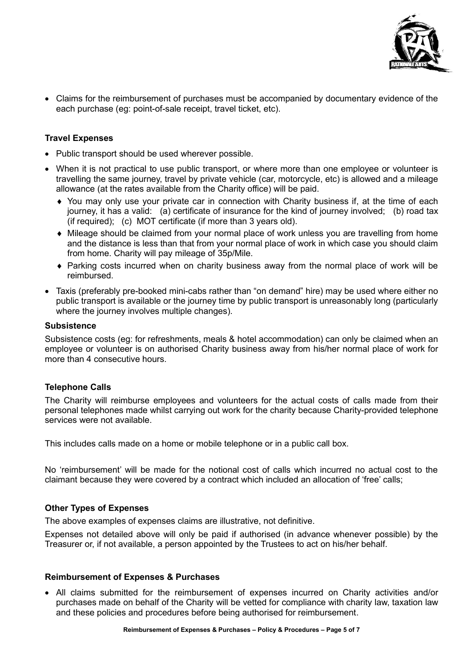

• Claims for the reimbursement of purchases must be accompanied by documentary evidence of the each purchase (eg: point-of-sale receipt, travel ticket, etc).

## **Travel Expenses**

- Public transport should be used wherever possible.
- When it is not practical to use public transport, or where more than one employee or volunteer is travelling the same journey, travel by private vehicle (car, motorcycle, etc) is allowed and a mileage allowance (at the rates available from the Charity office) will be paid.
	- You may only use your private car in connection with Charity business if, at the time of each journey, it has a valid: (a) certificate of insurance for the kind of journey involved; (b) road tax (if required); (c) MOT certificate (if more than 3 years old).
	- Mileage should be claimed from your normal place of work unless you are travelling from home and the distance is less than that from your normal place of work in which case you should claim from home. Charity will pay mileage of 35p/Mile.
	- Parking costs incurred when on charity business away from the normal place of work will be reimbursed.
- Taxis (preferably pre-booked mini-cabs rather than "on demand" hire) may be used where either no public transport is available or the journey time by public transport is unreasonably long (particularly where the journey involves multiple changes).

#### **Subsistence**

Subsistence costs (eg: for refreshments, meals & hotel accommodation) can only be claimed when an employee or volunteer is on authorised Charity business away from his/her normal place of work for more than 4 consecutive hours.

## **Telephone Calls**

The Charity will reimburse employees and volunteers for the actual costs of calls made from their personal telephones made whilst carrying out work for the charity because Charity-provided telephone services were not available.

This includes calls made on a home or mobile telephone or in a public call box.

No 'reimbursement' will be made for the notional cost of calls which incurred no actual cost to the claimant because they were covered by a contract which included an allocation of 'free' calls;

## **Other Types of Expenses**

The above examples of expenses claims are illustrative, not definitive.

Expenses not detailed above will only be paid if authorised (in advance whenever possible) by the Treasurer or, if not available, a person appointed by the Trustees to act on his/her behalf.

#### **Reimbursement of Expenses & Purchases**

• All claims submitted for the reimbursement of expenses incurred on Charity activities and/or purchases made on behalf of the Charity will be vetted for compliance with charity law, taxation law and these policies and procedures before being authorised for reimbursement.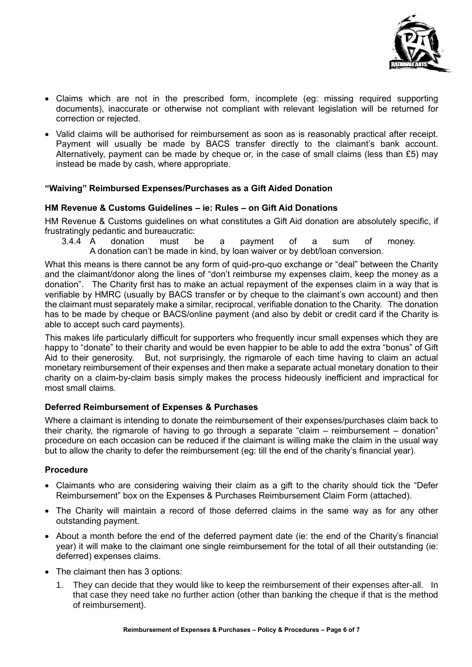

- Claims which are not in the prescribed form, incomplete (eg: missing required supporting documents), inaccurate or otherwise not compliant with relevant legislation will be returned for correction or rejected.
- Valid claims will be authorised for reimbursement as soon as is reasonably practical after receipt. Payment will usually be made by BACS transfer directly to the claimant's bank account. Alternatively, payment can be made by cheque or, in the case of small claims (less than £5) may instead be made by cash, where appropriate.

## **"Waiving" Reimbursed Expenses/Purchases as a Gift Aided Donation**

## **HM Revenue & Customs Guidelines – ie: Rules – on Gift Aid Donations**

HM Revenue & Customs guidelines on what constitutes a Gift Aid donation are absolutely specific, if frustratingly pedantic and bureaucratic:<br>3.4.4 A donation must b

3.4.4 A donation must be a payment of a sum of money. A donation can't be made in kind, by loan waiver or by debt/loan conversion.

What this means is there cannot be any form of quid-pro-quo exchange or "deal" between the Charity and the claimant/donor along the lines of "don't reimburse my expenses claim, keep the money as a donation". The Charity first has to make an actual repayment of the expenses claim in a way that is verifiable by HMRC (usually by BACS transfer or by cheque to the claimant's own account) and then the claimant must separately make a similar, reciprocal, verifiable donation to the Charity. The donation has to be made by cheque or BACS/online payment (and also by debit or credit card if the Charity is able to accept such card payments).

This makes life particularly difficult for supporters who frequently incur small expenses which they are happy to "donate" to their charity and would be even happier to be able to add the extra "bonus" of Gift Aid to their generosity. But, not surprisingly, the rigmarole of each time having to claim an actual monetary reimbursement of their expenses and then make a separate actual monetary donation to their charity on a claim-by-claim basis simply makes the process hideously inefficient and impractical for most small claims.

## **Deferred Reimbursement of Expenses & Purchases**

Where a claimant is intending to donate the reimbursement of their expenses/purchases claim back to their charity, the rigmarole of having to go through a separate "claim – reimbursement – donation" procedure on each occasion can be reduced if the claimant is willing make the claim in the usual way but to allow the charity to defer the reimbursement (eg: till the end of the charity's financial year).

## **Procedure**

- Claimants who are considering waiving their claim as a gift to the charity should tick the "Defer Reimbursement" box on the Expenses & Purchases Reimbursement Claim Form (attached).
- The Charity will maintain a record of those deferred claims in the same way as for any other outstanding payment.
- About a month before the end of the deferred payment date (ie: the end of the Charity's financial year) it will make to the claimant one single reimbursement for the total of all their outstanding (ie: deferred) expenses claims.
- The claimant then has 3 options:
	- 1. They can decide that they would like to keep the reimbursement of their expenses after-all. In that case they need take no further action (other than banking the cheque if that is the method of reimbursement).